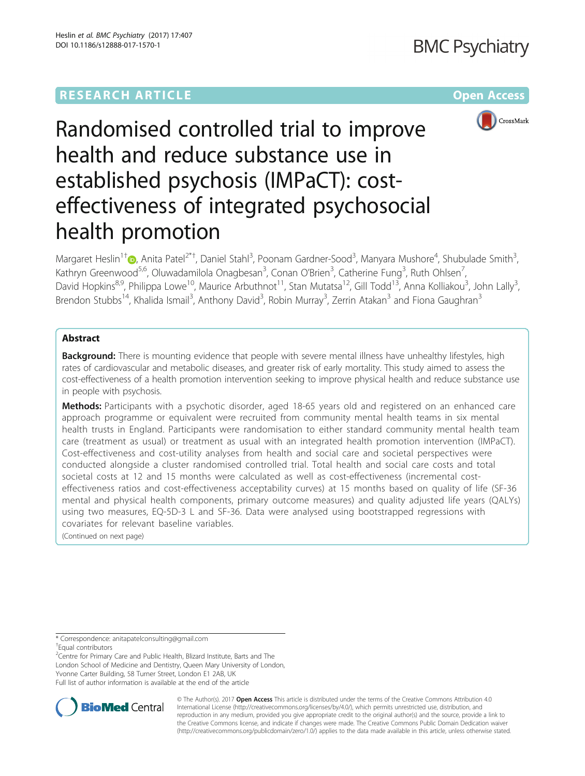

# Randomised controlled trial to improve health and reduce substance use in established psychosis (IMPaCT): costeffectiveness of integrated psychosocial health promotion

Margaret Heslin<sup>1†</sup> (D[,](http://orcid.org/0000-0002-3094-9255) Anita Patel<sup>2\*†</sup>, Daniel Stahl<sup>3</sup>, Poonam Gardner-Sood<sup>3</sup>, Manyara Mushore<sup>4</sup>, Shubulade Smith<sup>3</sup> , Kathryn Greenwood<sup>5,6</sup>, Oluwadamilola Onagbesan<sup>3</sup>, Conan O'Brien<sup>3</sup>, Catherine Fung<sup>3</sup>, Ruth Ohlsen<sup>7</sup> , David Hopkins<sup>8,9</sup>, Philippa Lowe<sup>10</sup>, Maurice Arbuthnot<sup>11</sup>, Stan Mutatsa<sup>12</sup>, Gill Todd<sup>13</sup>, Anna Kolliakou<sup>3</sup>, John Lally<sup>3</sup> , Brendon Stubbs<sup>14</sup>, Khalida Ismail<sup>3</sup>, Anthony David<sup>3</sup>, Robin Murray<sup>3</sup>, Zerrin Atakan<sup>3</sup> and Fiona Gaughran<sup>3</sup>

## Abstract

**Background:** There is mounting evidence that people with severe mental illness have unhealthy lifestyles, high rates of cardiovascular and metabolic diseases, and greater risk of early mortality. This study aimed to assess the cost-effectiveness of a health promotion intervention seeking to improve physical health and reduce substance use in people with psychosis.

Methods: Participants with a psychotic disorder, aged 18-65 years old and registered on an enhanced care approach programme or equivalent were recruited from community mental health teams in six mental health trusts in England. Participants were randomisation to either standard community mental health team care (treatment as usual) or treatment as usual with an integrated health promotion intervention (IMPaCT). Cost-effectiveness and cost-utility analyses from health and social care and societal perspectives were conducted alongside a cluster randomised controlled trial. Total health and social care costs and total societal costs at 12 and 15 months were calculated as well as cost-effectiveness (incremental costeffectiveness ratios and cost-effectiveness acceptability curves) at 15 months based on quality of life (SF-36 mental and physical health components, primary outcome measures) and quality adjusted life years (QALYs) using two measures, EQ-5D-3 L and SF-36. Data were analysed using bootstrapped regressions with covariates for relevant baseline variables.

(Continued on next page)

<sup>2</sup> Centre for Primary Care and Public Health, Blizard Institute, Barts and The London School of Medicine and Dentistry, Queen Mary University of London, Yvonne Carter Building, 58 Turner Street, London E1 2AB, UK Full list of author information is available at the end of the article



© The Author(s). 2017 **Open Access** This article is distributed under the terms of the Creative Commons Attribution 4.0 International License [\(http://creativecommons.org/licenses/by/4.0/](http://creativecommons.org/licenses/by/4.0/)), which permits unrestricted use, distribution, and reproduction in any medium, provided you give appropriate credit to the original author(s) and the source, provide a link to the Creative Commons license, and indicate if changes were made. The Creative Commons Public Domain Dedication waiver [\(http://creativecommons.org/publicdomain/zero/1.0/](http://creativecommons.org/publicdomain/zero/1.0/)) applies to the data made available in this article, unless otherwise stated.

<sup>\*</sup> Correspondence: [anitapatelconsulting@gmail.com](mailto:anitapatelconsulting@gmail.com) †

<sup>&</sup>lt;sup>†</sup>Equal contributors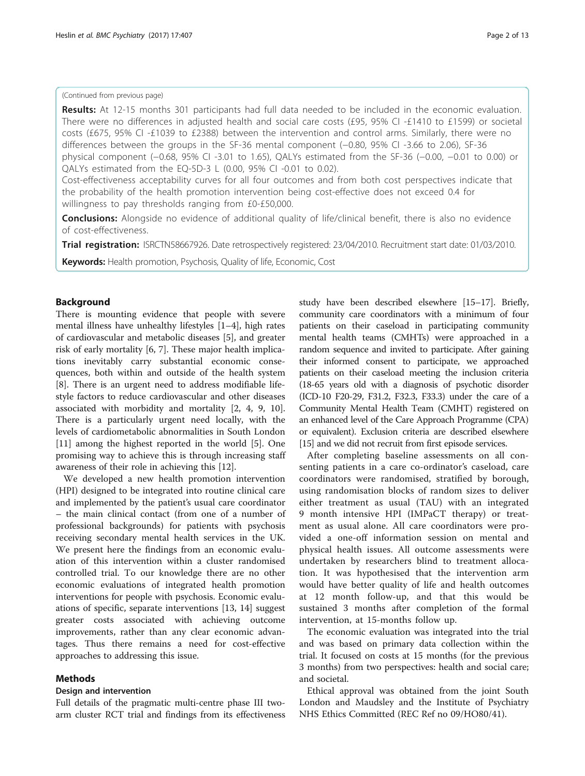#### (Continued from previous page)

Results: At 12-15 months 301 participants had full data needed to be included in the economic evaluation. There were no differences in adjusted health and social care costs (£95, 95% CI -£1410 to £1599) or societal costs (£675, 95% CI -£1039 to £2388) between the intervention and control arms. Similarly, there were no differences between the groups in the SF-36 mental component (−0.80, 95% CI -3.66 to 2.06), SF-36 physical component (−0.68, 95% CI -3.01 to 1.65), QALYs estimated from the SF-36 (−0.00, −0.01 to 0.00) or QALYs estimated from the EQ-5D-3 L (0.00, 95% CI -0.01 to 0.02).

Cost-effectiveness acceptability curves for all four outcomes and from both cost perspectives indicate that the probability of the health promotion intervention being cost-effective does not exceed 0.4 for willingness to pay thresholds ranging from £0-£50,000.

**Conclusions:** Alongside no evidence of additional quality of life/clinical benefit, there is also no evidence of cost-effectiveness.

Trial registration: [ISRCTN58667926](http://www.isrctn.com/ISRCTN58667926). Date retrospectively registered: 23/04/2010. Recruitment start date: 01/03/2010.

Keywords: Health promotion, Psychosis, Quality of life, Economic, Cost

## Background

There is mounting evidence that people with severe mental illness have unhealthy lifestyles [[1](#page-11-0)–[4](#page-11-0)], high rates of cardiovascular and metabolic diseases [\[5](#page-11-0)], and greater risk of early mortality [\[6](#page-11-0), [7](#page-11-0)]. These major health implications inevitably carry substantial economic consequences, both within and outside of the health system [[8\]](#page-11-0). There is an urgent need to address modifiable lifestyle factors to reduce cardiovascular and other diseases associated with morbidity and mortality [\[2](#page-11-0), [4](#page-11-0), [9, 10](#page-11-0)]. There is a particularly urgent need locally, with the levels of cardiometabolic abnormalities in South London [[11\]](#page-11-0) among the highest reported in the world [[5\]](#page-11-0). One promising way to achieve this is through increasing staff awareness of their role in achieving this [[12](#page-11-0)].

We developed a new health promotion intervention (HPI) designed to be integrated into routine clinical care and implemented by the patient's usual care coordinator – the main clinical contact (from one of a number of professional backgrounds) for patients with psychosis receiving secondary mental health services in the UK. We present here the findings from an economic evaluation of this intervention within a cluster randomised controlled trial. To our knowledge there are no other economic evaluations of integrated health promotion interventions for people with psychosis. Economic evaluations of specific, separate interventions [[13, 14](#page-11-0)] suggest greater costs associated with achieving outcome improvements, rather than any clear economic advantages. Thus there remains a need for cost-effective approaches to addressing this issue.

## Methods

## Design and intervention

Full details of the pragmatic multi-centre phase III twoarm cluster RCT trial and findings from its effectiveness study have been described elsewhere [\[15](#page-12-0)–[17](#page-12-0)]. Briefly, community care coordinators with a minimum of four patients on their caseload in participating community mental health teams (CMHTs) were approached in a random sequence and invited to participate. After gaining their informed consent to participate, we approached patients on their caseload meeting the inclusion criteria (18-65 years old with a diagnosis of psychotic disorder (ICD-10 F20-29, F31.2, F32.3, F33.3) under the care of a Community Mental Health Team (CMHT) registered on an enhanced level of the Care Approach Programme (CPA) or equivalent). Exclusion criteria are described elsewhere [[15](#page-12-0)] and we did not recruit from first episode services.

After completing baseline assessments on all consenting patients in a care co-ordinator's caseload, care coordinators were randomised, stratified by borough, using randomisation blocks of random sizes to deliver either treatment as usual (TAU) with an integrated 9 month intensive HPI (IMPaCT therapy) or treatment as usual alone. All care coordinators were provided a one-off information session on mental and physical health issues. All outcome assessments were undertaken by researchers blind to treatment allocation. It was hypothesised that the intervention arm would have better quality of life and health outcomes at 12 month follow-up, and that this would be sustained 3 months after completion of the formal intervention, at 15-months follow up.

The economic evaluation was integrated into the trial and was based on primary data collection within the trial. It focused on costs at 15 months (for the previous 3 months) from two perspectives: health and social care; and societal.

Ethical approval was obtained from the joint South London and Maudsley and the Institute of Psychiatry NHS Ethics Committed (REC Ref no 09/HO80/41).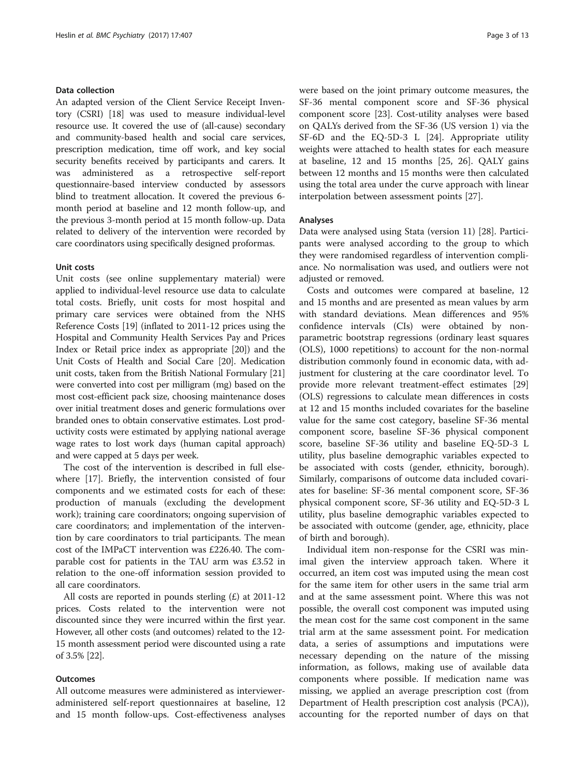### Data collection

An adapted version of the Client Service Receipt Inventory (CSRI) [[18](#page-12-0)] was used to measure individual-level resource use. It covered the use of (all-cause) secondary and community-based health and social care services, prescription medication, time off work, and key social security benefits received by participants and carers. It was administered as a retrospective self-report questionnaire-based interview conducted by assessors blind to treatment allocation. It covered the previous 6 month period at baseline and 12 month follow-up, and the previous 3-month period at 15 month follow-up. Data related to delivery of the intervention were recorded by care coordinators using specifically designed proformas.

## Unit costs

Unit costs (see online supplementary material) were applied to individual-level resource use data to calculate total costs. Briefly, unit costs for most hospital and primary care services were obtained from the NHS Reference Costs [[19](#page-12-0)] (inflated to 2011-12 prices using the Hospital and Community Health Services Pay and Prices Index or Retail price index as appropriate [[20\]](#page-12-0)) and the Unit Costs of Health and Social Care [\[20](#page-12-0)]. Medication unit costs, taken from the British National Formulary [[21](#page-12-0)] were converted into cost per milligram (mg) based on the most cost-efficient pack size, choosing maintenance doses over initial treatment doses and generic formulations over branded ones to obtain conservative estimates. Lost productivity costs were estimated by applying national average wage rates to lost work days (human capital approach) and were capped at 5 days per week.

The cost of the intervention is described in full elsewhere [[17\]](#page-12-0). Briefly, the intervention consisted of four components and we estimated costs for each of these: production of manuals (excluding the development work); training care coordinators; ongoing supervision of care coordinators; and implementation of the intervention by care coordinators to trial participants. The mean cost of the IMPaCT intervention was £226.40. The comparable cost for patients in the TAU arm was £3.52 in relation to the one-off information session provided to all care coordinators.

All costs are reported in pounds sterling  $(E)$  at 2011-12 prices. Costs related to the intervention were not discounted since they were incurred within the first year. However, all other costs (and outcomes) related to the 12- 15 month assessment period were discounted using a rate of 3.5% [\[22\]](#page-12-0).

### Outcomes

All outcome measures were administered as intervieweradministered self-report questionnaires at baseline, 12 and 15 month follow-ups. Cost-effectiveness analyses were based on the joint primary outcome measures, the SF-36 mental component score and SF-36 physical component score [[23](#page-12-0)]. Cost-utility analyses were based on QALYs derived from the SF-36 (US version 1) via the SF-6D and the EQ-5D-3 L [\[24\]](#page-12-0). Appropriate utility weights were attached to health states for each measure at baseline, 12 and 15 months [\[25, 26](#page-12-0)]. QALY gains between 12 months and 15 months were then calculated using the total area under the curve approach with linear interpolation between assessment points [[27\]](#page-12-0).

#### Analyses

Data were analysed using Stata (version 11) [\[28](#page-12-0)]. Participants were analysed according to the group to which they were randomised regardless of intervention compliance. No normalisation was used, and outliers were not adjusted or removed.

Costs and outcomes were compared at baseline, 12 and 15 months and are presented as mean values by arm with standard deviations. Mean differences and 95% confidence intervals (CIs) were obtained by nonparametric bootstrap regressions (ordinary least squares (OLS), 1000 repetitions) to account for the non-normal distribution commonly found in economic data, with adjustment for clustering at the care coordinator level. To provide more relevant treatment-effect estimates [[29](#page-12-0)] (OLS) regressions to calculate mean differences in costs at 12 and 15 months included covariates for the baseline value for the same cost category, baseline SF-36 mental component score, baseline SF-36 physical component score, baseline SF-36 utility and baseline EQ-5D-3 L utility, plus baseline demographic variables expected to be associated with costs (gender, ethnicity, borough). Similarly, comparisons of outcome data included covariates for baseline: SF-36 mental component score, SF-36 physical component score, SF-36 utility and EQ-5D-3 L utility, plus baseline demographic variables expected to be associated with outcome (gender, age, ethnicity, place of birth and borough).

Individual item non-response for the CSRI was minimal given the interview approach taken. Where it occurred, an item cost was imputed using the mean cost for the same item for other users in the same trial arm and at the same assessment point. Where this was not possible, the overall cost component was imputed using the mean cost for the same cost component in the same trial arm at the same assessment point. For medication data, a series of assumptions and imputations were necessary depending on the nature of the missing information, as follows, making use of available data components where possible. If medication name was missing, we applied an average prescription cost (from Department of Health prescription cost analysis (PCA)), accounting for the reported number of days on that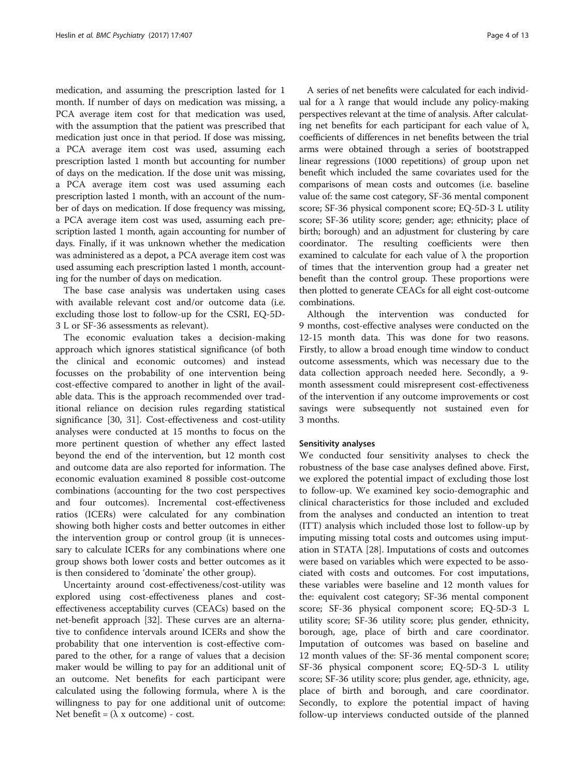medication, and assuming the prescription lasted for 1 month. If number of days on medication was missing, a PCA average item cost for that medication was used, with the assumption that the patient was prescribed that medication just once in that period. If dose was missing, a PCA average item cost was used, assuming each prescription lasted 1 month but accounting for number of days on the medication. If the dose unit was missing, a PCA average item cost was used assuming each prescription lasted 1 month, with an account of the number of days on medication. If dose frequency was missing, a PCA average item cost was used, assuming each prescription lasted 1 month, again accounting for number of days. Finally, if it was unknown whether the medication was administered as a depot, a PCA average item cost was used assuming each prescription lasted 1 month, accounting for the number of days on medication.

The base case analysis was undertaken using cases with available relevant cost and/or outcome data (i.e. excluding those lost to follow-up for the CSRI, EQ-5D-3 L or SF-36 assessments as relevant).

The economic evaluation takes a decision-making approach which ignores statistical significance (of both the clinical and economic outcomes) and instead focusses on the probability of one intervention being cost-effective compared to another in light of the available data. This is the approach recommended over traditional reliance on decision rules regarding statistical significance [\[30, 31\]](#page-12-0). Cost-effectiveness and cost-utility analyses were conducted at 15 months to focus on the more pertinent question of whether any effect lasted beyond the end of the intervention, but 12 month cost and outcome data are also reported for information. The economic evaluation examined 8 possible cost-outcome combinations (accounting for the two cost perspectives and four outcomes). Incremental cost-effectiveness ratios (ICERs) were calculated for any combination showing both higher costs and better outcomes in either the intervention group or control group (it is unnecessary to calculate ICERs for any combinations where one group shows both lower costs and better outcomes as it is then considered to 'dominate' the other group).

Uncertainty around cost-effectiveness/cost-utility was explored using cost-effectiveness planes and costeffectiveness acceptability curves (CEACs) based on the net-benefit approach [\[32\]](#page-12-0). These curves are an alternative to confidence intervals around ICERs and show the probability that one intervention is cost-effective compared to the other, for a range of values that a decision maker would be willing to pay for an additional unit of an outcome. Net benefits for each participant were calculated using the following formula, where  $\lambda$  is the willingness to pay for one additional unit of outcome: Net benefit =  $(\lambda x$  outcome) - cost.

A series of net benefits were calculated for each individual for a  $\lambda$  range that would include any policy-making perspectives relevant at the time of analysis. After calculating net benefits for each participant for each value of  $\lambda$ , coefficients of differences in net benefits between the trial arms were obtained through a series of bootstrapped linear regressions (1000 repetitions) of group upon net benefit which included the same covariates used for the comparisons of mean costs and outcomes (i.e. baseline value of: the same cost category, SF-36 mental component score; SF-36 physical component score; EQ-5D-3 L utility score; SF-36 utility score; gender; age; ethnicity; place of birth; borough) and an adjustment for clustering by care coordinator. The resulting coefficients were then examined to calculate for each value of  $\lambda$  the proportion of times that the intervention group had a greater net benefit than the control group. These proportions were then plotted to generate CEACs for all eight cost-outcome combinations.

Although the intervention was conducted for 9 months, cost-effective analyses were conducted on the 12-15 month data. This was done for two reasons. Firstly, to allow a broad enough time window to conduct outcome assessments, which was necessary due to the data collection approach needed here. Secondly, a 9 month assessment could misrepresent cost-effectiveness of the intervention if any outcome improvements or cost savings were subsequently not sustained even for 3 months.

#### Sensitivity analyses

We conducted four sensitivity analyses to check the robustness of the base case analyses defined above. First, we explored the potential impact of excluding those lost to follow-up. We examined key socio-demographic and clinical characteristics for those included and excluded from the analyses and conducted an intention to treat (ITT) analysis which included those lost to follow-up by imputing missing total costs and outcomes using imputation in STATA [[28\]](#page-12-0). Imputations of costs and outcomes were based on variables which were expected to be associated with costs and outcomes. For cost imputations, these variables were baseline and 12 month values for the: equivalent cost category; SF-36 mental component score; SF-36 physical component score; EQ-5D-3 L utility score; SF-36 utility score; plus gender, ethnicity, borough, age, place of birth and care coordinator. Imputation of outcomes was based on baseline and 12 month values of the: SF-36 mental component score; SF-36 physical component score; EQ-5D-3 L utility score; SF-36 utility score; plus gender, age, ethnicity, age, place of birth and borough, and care coordinator. Secondly, to explore the potential impact of having follow-up interviews conducted outside of the planned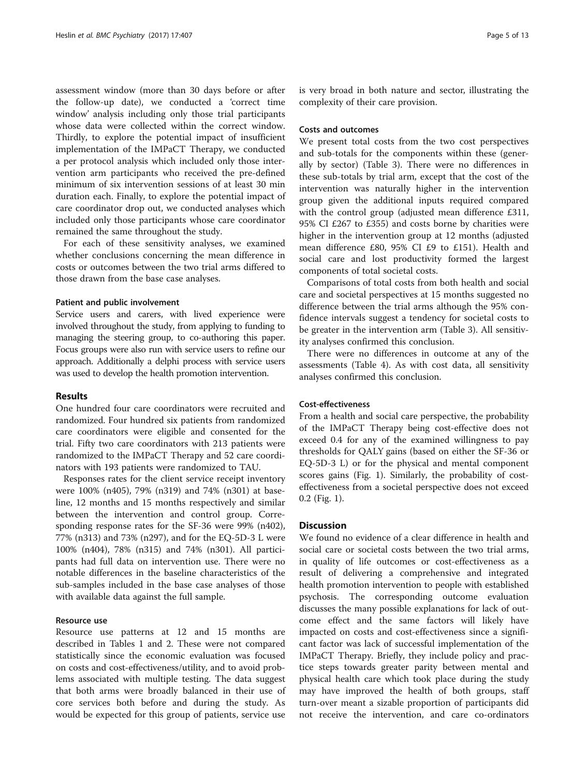assessment window (more than 30 days before or after the follow-up date), we conducted a 'correct time window' analysis including only those trial participants whose data were collected within the correct window. Thirdly, to explore the potential impact of insufficient implementation of the IMPaCT Therapy, we conducted a per protocol analysis which included only those intervention arm participants who received the pre-defined minimum of six intervention sessions of at least 30 min duration each. Finally, to explore the potential impact of care coordinator drop out, we conducted analyses which included only those participants whose care coordinator remained the same throughout the study.

For each of these sensitivity analyses, we examined whether conclusions concerning the mean difference in costs or outcomes between the two trial arms differed to those drawn from the base case analyses.

#### Patient and public involvement

Service users and carers, with lived experience were involved throughout the study, from applying to funding to managing the steering group, to co-authoring this paper. Focus groups were also run with service users to refine our approach. Additionally a delphi process with service users was used to develop the health promotion intervention.

#### Results

One hundred four care coordinators were recruited and randomized. Four hundred six patients from randomized care coordinators were eligible and consented for the trial. Fifty two care coordinators with 213 patients were randomized to the IMPaCT Therapy and 52 care coordinators with 193 patients were randomized to TAU.

Responses rates for the client service receipt inventory were 100% (n405), 79% (n319) and 74% (n301) at baseline, 12 months and 15 months respectively and similar between the intervention and control group. Corresponding response rates for the SF-36 were 99% (n402), 77% (n313) and 73% (n297), and for the EQ-5D-3 L were 100% (n404), 78% (n315) and 74% (n301). All participants had full data on intervention use. There were no notable differences in the baseline characteristics of the sub-samples included in the base case analyses of those with available data against the full sample.

### Resource use

Resource use patterns at 12 and 15 months are described in Tables [1](#page-5-0) and [2](#page-7-0). These were not compared statistically since the economic evaluation was focused on costs and cost-effectiveness/utility, and to avoid problems associated with multiple testing. The data suggest that both arms were broadly balanced in their use of core services both before and during the study. As would be expected for this group of patients, service use is very broad in both nature and sector, illustrating the complexity of their care provision.

## Costs and outcomes

We present total costs from the two cost perspectives and sub-totals for the components within these (generally by sector) (Table [3](#page-9-0)). There were no differences in these sub-totals by trial arm, except that the cost of the intervention was naturally higher in the intervention group given the additional inputs required compared with the control group (adjusted mean difference £311, 95% CI £267 to £355) and costs borne by charities were higher in the intervention group at 12 months (adjusted mean difference £80, 95% CI £9 to £151). Health and social care and lost productivity formed the largest components of total societal costs.

Comparisons of total costs from both health and social care and societal perspectives at 15 months suggested no difference between the trial arms although the 95% confidence intervals suggest a tendency for societal costs to be greater in the intervention arm (Table [3](#page-9-0)). All sensitivity analyses confirmed this conclusion.

There were no differences in outcome at any of the assessments (Table [4\)](#page-10-0). As with cost data, all sensitivity analyses confirmed this conclusion.

## Cost-effectiveness

From a health and social care perspective, the probability of the IMPaCT Therapy being cost-effective does not exceed 0.4 for any of the examined willingness to pay thresholds for QALY gains (based on either the SF-36 or EQ-5D-3 L) or for the physical and mental component scores gains (Fig. [1](#page-10-0)). Similarly, the probability of costeffectiveness from a societal perspective does not exceed 0.2 (Fig. [1](#page-10-0)).

## **Discussion**

We found no evidence of a clear difference in health and social care or societal costs between the two trial arms, in quality of life outcomes or cost-effectiveness as a result of delivering a comprehensive and integrated health promotion intervention to people with established psychosis. The corresponding outcome evaluation discusses the many possible explanations for lack of outcome effect and the same factors will likely have impacted on costs and cost-effectiveness since a significant factor was lack of successful implementation of the IMPaCT Therapy. Briefly, they include policy and practice steps towards greater parity between mental and physical health care which took place during the study may have improved the health of both groups, staff turn-over meant a sizable proportion of participants did not receive the intervention, and care co-ordinators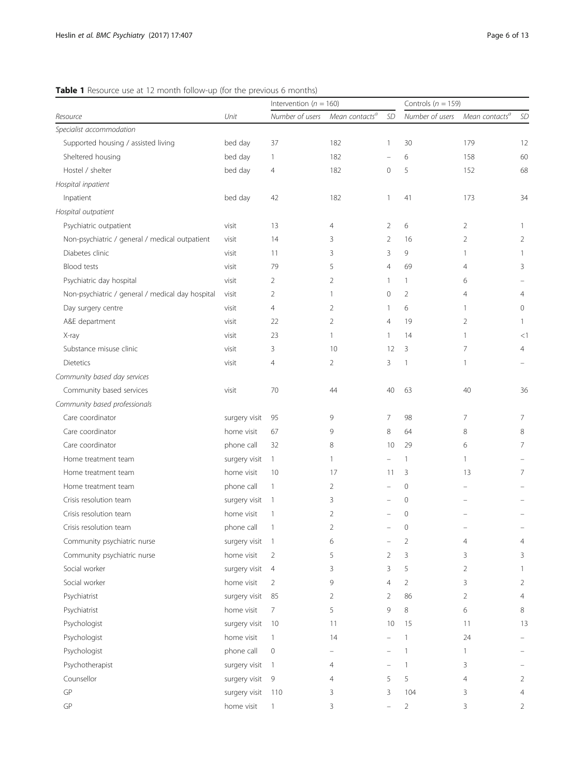## <span id="page-5-0"></span>Table 1 Resource use at 12 month follow-up (for the previous 6 months)

|                                                  |               | Intervention ( $n = 160$ ) |                            | Controls ( $n = 159$ )   |                 |                            |                |
|--------------------------------------------------|---------------|----------------------------|----------------------------|--------------------------|-----------------|----------------------------|----------------|
| Resource                                         | Unit          | Number of users            | Mean contacts <sup>a</sup> | SD                       | Number of users | Mean contacts <sup>a</sup> | <b>SD</b>      |
| Specialist accommodation                         |               |                            |                            |                          |                 |                            |                |
| Supported housing / assisted living              | bed day       | 37                         | 182                        | 1                        | 30              | 179                        | 12             |
| Sheltered housing                                | bed day       | $\mathbf{1}$               | 182                        |                          | 6               | 158                        | 60             |
| Hostel / shelter                                 | bed day       | 4                          | 182                        | $\mathbf 0$              | 5               | 152                        | 68             |
| Hospital inpatient                               |               |                            |                            |                          |                 |                            |                |
| Inpatient                                        | bed day       | 42                         | 182                        | 1                        | 41              | 173                        | 34             |
| Hospital outpatient                              |               |                            |                            |                          |                 |                            |                |
| Psychiatric outpatient                           | visit         | 13                         | 4                          | 2                        | 6               | 2                          | $\mathbf{1}$   |
| Non-psychiatric / general / medical outpatient   | visit         | 14                         | 3                          | 2                        | 16              | 2                          | 2              |
| Diabetes clinic                                  | visit         | 11                         | 3                          | 3                        | 9               | 1                          | 1              |
| Blood tests                                      | visit         | 79                         | 5                          | 4                        | 69              | $\overline{4}$             | 3              |
| Psychiatric day hospital                         | visit         | 2                          | $\overline{2}$             | 1                        | $\mathbf{1}$    | 6                          |                |
| Non-psychiatric / general / medical day hospital | visit         | 2                          | $\mathbf{1}$               | 0                        | $\overline{2}$  | $\overline{4}$             | $\overline{4}$ |
| Day surgery centre                               | visit         | 4                          | $\overline{2}$             | 1                        | 6               | 1                          | 0              |
| A&E department                                   | visit         | 22                         | 2                          | 4                        | 19              | 2                          | 1              |
| X-ray                                            | visit         | 23                         | $\mathbf{1}$               | 1                        | 14              | 1                          | $<$ 1          |
| Substance misuse clinic                          | visit         | 3                          | 10                         | 12                       | 3               | 7                          | 4              |
| Dietetics                                        | visit         | 4                          | 2                          | 3                        | 1               | $\overline{1}$             |                |
| Community based day services                     |               |                            |                            |                          |                 |                            |                |
| Community based services                         | visit         | 70                         | 44                         | 40                       | 63              | 40                         | 36             |
| Community based professionals                    |               |                            |                            |                          |                 |                            |                |
| Care coordinator                                 | surgery visit | 95                         | 9                          | 7                        | 98              | 7                          | 7              |
| Care coordinator                                 | home visit    | 67                         | 9                          | 8                        | 64              | 8                          | 8              |
| Care coordinator                                 | phone call    | 32                         | 8                          | 10                       | 29              | 6                          | 7              |
| Home treatment team                              | surgery visit | $\mathbf{1}$               | $\mathbf{1}$               | $\overline{\phantom{0}}$ | 1               | 1                          |                |
| Home treatment team                              | home visit    | 10                         | 17                         | 11                       | 3               | 13                         | $\overline{7}$ |
| Home treatment team                              | phone call    | 1                          | 2                          |                          | $\mathbf{0}$    |                            |                |
| Crisis resolution team                           | surgery visit | 1                          | 3                          |                          | 0               |                            |                |
| Crisis resolution team                           | home visit    | 1                          | 2                          |                          | 0               |                            |                |
| Crisis resolution team                           | phone call    | 1                          | 2                          |                          | 0               |                            |                |
| Community psychiatric nurse                      | surgery visit | $\overline{\phantom{a}}$   | 6                          |                          | $\overline{2}$  | $\overline{4}$             | 4              |
| Community psychiatric nurse                      | home visit    | $\overline{2}$             | 5                          | 2                        | 3               | 3                          | 3              |
| Social worker                                    | surgery visit | $\overline{4}$             | 3                          | 3                        | 5               | 2                          | $\mathbf{1}$   |
| Social worker                                    | home visit    | $\overline{2}$             | 9                          | 4                        | $\overline{2}$  | 3                          | 2              |
| Psychiatrist                                     | surgery visit | 85                         | 2                          | $\overline{2}$           | 86              | $\overline{2}$             | 4              |
| Psychiatrist                                     | home visit    | 7                          | 5                          | 9                        | 8               | 6                          | 8              |
| Psychologist                                     | surgery visit | 10                         | 11                         | 10                       | 15              | 11                         | 13             |
| Psychologist                                     | home visit    | 1                          | 14                         |                          | $\mathbf{1}$    | 24                         |                |
| Psychologist                                     | phone call    | 0                          | $\qquad \qquad$            |                          | $\mathbf{1}$    | 1                          |                |
| Psychotherapist                                  | surgery visit | $\mathbf{1}$               | 4                          | $\qquad \qquad$          | 1               | 3                          |                |
| Counsellor                                       | surgery visit | 9                          | $\overline{4}$             | 5                        | 5               | $\overline{4}$             | 2              |
| GP                                               | surgery visit | 110                        | 3                          | 3                        | 104             | 3                          | 4              |
| GP                                               | home visit    | $\mathbf{1}$               | 3                          | $\overline{\phantom{0}}$ | $\overline{2}$  | 3                          | 2              |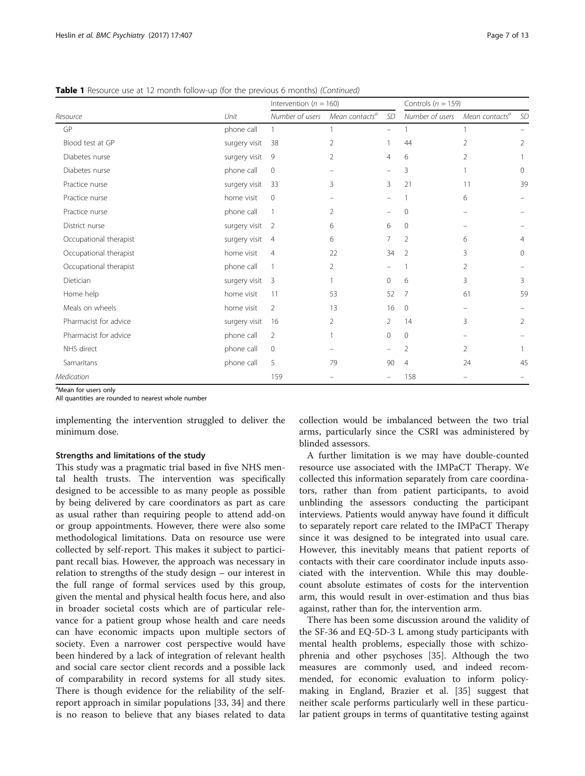|                        |               | Intervention ( $n = 160$ ) |                            |                          | Controls ( $n = 159$ ) |                            |                |
|------------------------|---------------|----------------------------|----------------------------|--------------------------|------------------------|----------------------------|----------------|
| Resource               | Unit          | Number of users            | Mean contacts <sup>a</sup> | <b>SD</b>                | Number of users        | Mean contacts <sup>a</sup> | <b>SD</b>      |
| GP                     | phone call    |                            |                            | $\overline{\phantom{m}}$ |                        |                            |                |
| Blood test at GP       | surgery visit | 38                         | $\overline{2}$             | 1                        | 44                     | $\overline{2}$             | $\overline{2}$ |
| Diabetes nurse         | surgery visit | 9                          | 2                          | $\overline{4}$           | 6                      | $\overline{2}$             | 1              |
| Diabetes nurse         | phone call    | $\mathbf 0$                |                            | -                        | 3                      |                            | $\mathbf{0}$   |
| Practice nurse         | surgery visit | 33                         | 3                          | 3                        | 21                     | 11                         | 39             |
| Practice nurse         | home visit    | $\mathbf{0}$               |                            | $\overline{\phantom{0}}$ |                        | 6                          |                |
| Practice nurse         | phone call    | $\mathbf{1}$               | 2                          | $\qquad \qquad -$        | $\mathbf{0}$           |                            |                |
| District nurse         | surgery visit | 2                          | 6                          | 6                        | $\mathbf{0}$           |                            |                |
| Occupational therapist | surgery visit | 4                          | 6                          | 7                        | $\overline{2}$         | 6                          | $\overline{4}$ |
| Occupational therapist | home visit    | $\overline{4}$             | 22                         | 34                       | $\overline{2}$         | 3                          | $\Omega$       |
| Occupational therapist | phone call    | 1                          | $\overline{2}$             |                          |                        | $\overline{2}$             |                |
| Dietician              | surgery visit | 3                          |                            | $\mathbf{0}$             | 6                      | 3                          | 3              |
| Home help              | home visit    | 11                         | 53                         | 52                       | 7                      | 61                         | 59             |
| Meals on wheels        | home visit    | $\overline{2}$             | 13                         | 16                       | 0                      |                            |                |
| Pharmacist for advice  | surgery visit | 16                         | $\overline{2}$             | 2                        | 14                     | 3                          | 2              |
| Pharmacist for advice  | phone call    | 2                          |                            | $\mathbf{0}$             | $\mathbf{0}$           |                            |                |
| NHS direct             | phone call    | $\mathbf 0$                |                            | $\overline{\phantom{0}}$ | $\overline{2}$         | 2                          | 1              |
| Samaritans             | phone call    | 5                          | 79                         | 90                       | $\overline{4}$         | 24                         | 45             |
| Medication             |               | 159                        |                            |                          | 158                    |                            |                |

**Table 1** Resource use at 12 month follow-up (for the previous 6 months) (Continued)

<sup>a</sup>Mean for users only

All quantities are rounded to nearest whole number

implementing the intervention struggled to deliver the minimum dose.

### Strengths and limitations of the study

This study was a pragmatic trial based in five NHS mental health trusts. The intervention was specifically designed to be accessible to as many people as possible by being delivered by care coordinators as part as care as usual rather than requiring people to attend add-on or group appointments. However, there were also some methodological limitations. Data on resource use were collected by self-report. This makes it subject to participant recall bias. However, the approach was necessary in relation to strengths of the study design – our interest in the full range of formal services used by this group, given the mental and physical health focus here, and also in broader societal costs which are of particular relevance for a patient group whose health and care needs can have economic impacts upon multiple sectors of society. Even a narrower cost perspective would have been hindered by a lack of integration of relevant health and social care sector client records and a possible lack of comparability in record systems for all study sites. There is though evidence for the reliability of the selfreport approach in similar populations [[33, 34\]](#page-12-0) and there is no reason to believe that any biases related to data

collection would be imbalanced between the two trial arms, particularly since the CSRI was administered by blinded assessors.

A further limitation is we may have double-counted resource use associated with the IMPaCT Therapy. We collected this information separately from care coordinators, rather than from patient participants, to avoid unblinding the assessors conducting the participant interviews. Patients would anyway have found it difficult to separately report care related to the IMPaCT Therapy since it was designed to be integrated into usual care. However, this inevitably means that patient reports of contacts with their care coordinator include inputs associated with the intervention. While this may doublecount absolute estimates of costs for the intervention arm, this would result in over-estimation and thus bias against, rather than for, the intervention arm.

There has been some discussion around the validity of the SF-36 and EQ-5D-3 L among study participants with mental health problems, especially those with schizophrenia and other psychoses [\[35](#page-12-0)]. Although the two measures are commonly used, and indeed recommended, for economic evaluation to inform policymaking in England, Brazier et al. [\[35](#page-12-0)] suggest that neither scale performs particularly well in these particular patient groups in terms of quantitative testing against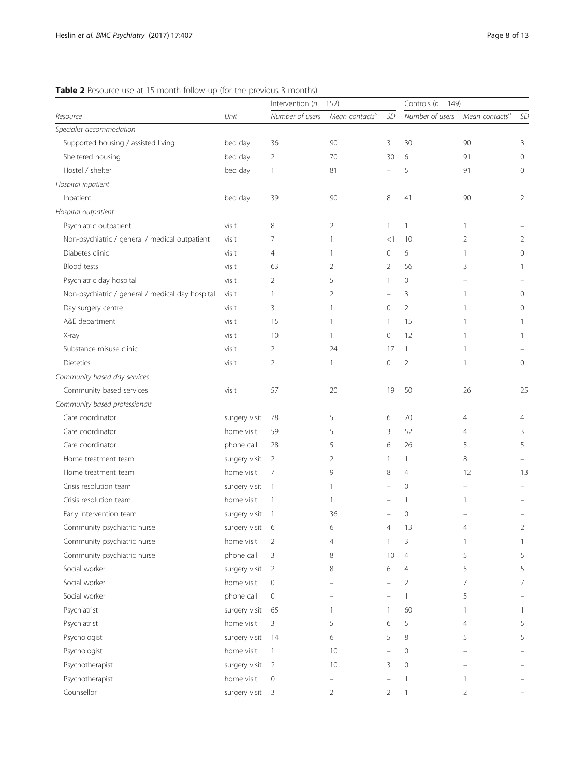## <span id="page-7-0"></span>Table 2 Resource use at 15 month follow-up (for the previous 3 months)

|                                                  |               | Intervention ( $n = 152$ ) |                            | Controls ( $n = 149$ ) |                 |                            |                |
|--------------------------------------------------|---------------|----------------------------|----------------------------|------------------------|-----------------|----------------------------|----------------|
| Resource                                         | Unit          | Number of users            | Mean contacts <sup>a</sup> | SD                     | Number of users | Mean contacts <sup>a</sup> | <b>SD</b>      |
| Specialist accommodation                         |               |                            |                            |                        |                 |                            |                |
| Supported housing / assisted living              | bed day       | 36                         | 90                         | 3                      | 30              | 90                         | 3              |
| Sheltered housing                                | bed day       | $\overline{2}$             | 70                         | 30                     | 6               | 91                         | 0              |
| Hostel / shelter                                 | bed day       | 1                          | 81                         |                        | 5               | 91                         | 0              |
| Hospital inpatient                               |               |                            |                            |                        |                 |                            |                |
| Inpatient                                        | bed day       | 39                         | 90                         | 8                      | 41              | 90                         | 2              |
| Hospital outpatient                              |               |                            |                            |                        |                 |                            |                |
| Psychiatric outpatient                           | visit         | 8                          | 2                          | 1                      | 1               | -1                         |                |
| Non-psychiatric / general / medical outpatient   | visit         | 7                          | $\mathbf{1}$               | <1                     | 10              | 2                          | 2              |
| Diabetes clinic                                  | visit         | 4                          | $\mathbf{1}$               | $\mathbf 0$            | 6               | -1                         | 0              |
| <b>Blood</b> tests                               | visit         | 63                         | $\overline{2}$             | 2                      | 56              | 3                          | 1              |
| Psychiatric day hospital                         | visit         | 2                          | 5                          | 1                      | $\mathbf 0$     |                            |                |
| Non-psychiatric / general / medical day hospital | visit         | 1                          | 2                          | $\qquad \qquad$        | 3               | -1                         | $\mathbf 0$    |
| Day surgery centre                               | visit         | 3                          | $\mathbf{1}$               | $\mathbf 0$            | $\overline{2}$  | -1                         | $\mathbf{0}$   |
| A&E department                                   | visit         | 15                         | $\mathbf{1}$               | -1                     | 15              | -1                         | 1              |
| X-ray                                            | visit         | 10                         | $\mathbf{1}$               | 0                      | 12              | $\overline{1}$             | 1              |
| Substance misuse clinic                          | visit         | 2                          | 24                         | 17                     | 1               | -1                         |                |
| Dietetics                                        | visit         | $\overline{2}$             | $\mathbf{1}$               | $\mathbb O$            | $\overline{2}$  | $\mathbf{1}$               | $\mathbf 0$    |
| Community based day services                     |               |                            |                            |                        |                 |                            |                |
| Community based services                         | visit         | 57                         | 20                         | 19                     | 50              | 26                         | 25             |
| Community based professionals                    |               |                            |                            |                        |                 |                            |                |
| Care coordinator                                 | surgery visit | 78                         | 5                          | 6                      | 70              | $\overline{4}$             | $\overline{4}$ |
| Care coordinator                                 | home visit    | 59                         | 5                          | 3                      | 52              | $\overline{4}$             | 3              |
| Care coordinator                                 | phone call    | 28                         | 5                          | 6                      | 26              | 5                          | 5              |
| Home treatment team                              | surgery visit | 2                          | 2                          | 1                      | $\mathbf{1}$    | 8                          |                |
| Home treatment team                              | home visit    | 7                          | 9                          | 8                      | $\overline{4}$  | 12                         | 13             |
| Crisis resolution team                           | surgery visit | $\overline{1}$             | -1                         |                        | 0               |                            |                |
| Crisis resolution team                           | home visit    | 1                          | $\mathbf{1}$               |                        | 1               | 1                          |                |
| Early intervention team                          | surgery visit | -1                         | 36                         |                        | $\mathbf 0$     |                            |                |
| Community psychiatric nurse                      | surgery visit | 6                          | 6                          | 4                      | 13              | $\overline{4}$             | 2              |
| Community psychiatric nurse                      | home visit    | $\overline{2}$             | $\overline{4}$             | 1                      | 3               | $\overline{1}$             | 1              |
| Community psychiatric nurse                      | phone call    | 3                          | 8                          | 10                     | $\overline{4}$  | 5                          | 5              |
| Social worker                                    | surgery visit | $\overline{2}$             | 8                          | 6                      | $\overline{4}$  | 5                          | 5              |
| Social worker                                    | home visit    | 0                          |                            |                        | $\overline{2}$  | 7                          | 7              |
| Social worker                                    | phone call    | $\mathbf 0$                |                            |                        | 1               | 5                          |                |
| Psychiatrist                                     | surgery visit | 65                         | $\mathbf{1}$               | 1                      | 60              | 1                          | 1              |
| Psychiatrist                                     | home visit    | 3                          | 5                          | 6                      | 5               | $\overline{4}$             | 5              |
| Psychologist                                     | surgery visit | 14                         | 6                          | 5                      | 8               | 5                          | 5              |
| Psychologist                                     | home visit    | $\mathbf{1}$               | 10                         |                        | 0               |                            |                |
| Psychotherapist                                  | surgery visit | $\overline{2}$             | 10                         | 3                      | $\mathbf 0$     |                            |                |
| Psychotherapist                                  | home visit    | $\mathbf 0$                |                            |                        | 1               |                            |                |
| Counsellor                                       | surgery visit | 3                          | $\overline{2}$             | $\overline{2}$         | $\mathbf{1}$    | 2                          |                |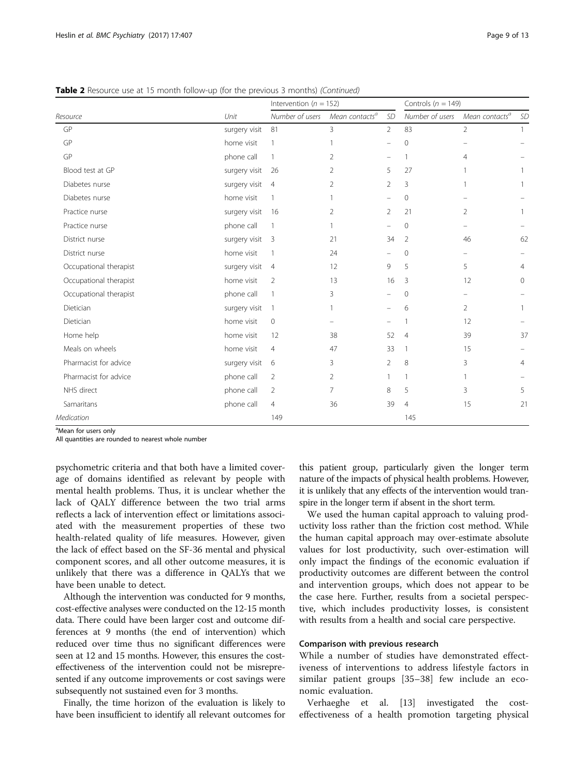|                        |               | Intervention ( $n = 152$ ) |                            | Controls ( $n = 149$ )   |                 |                            |                |
|------------------------|---------------|----------------------------|----------------------------|--------------------------|-----------------|----------------------------|----------------|
| Resource               | Unit          | Number of users            | Mean contacts <sup>a</sup> | <b>SD</b>                | Number of users | Mean contacts <sup>a</sup> | <b>SD</b>      |
| GP                     | surgery visit | 81                         | 3                          | $\overline{2}$           | 83              | $\overline{2}$             | $\mathbf{1}$   |
| GP                     | home visit    | 1                          |                            | $\overline{\phantom{0}}$ | $\mathbf{0}$    |                            |                |
| GP                     | phone call    | 1                          | $\overline{2}$             | $\overline{\phantom{m}}$ | 1               | 4                          |                |
| Blood test at GP       | surgery visit | 26                         | 2                          | 5                        | 27              | 1                          |                |
| Diabetes nurse         | surgery visit | 4                          | 2                          | 2                        | 3               | 1                          | 1              |
| Diabetes nurse         | home visit    |                            | 1                          | $\overline{\phantom{0}}$ | $\mathbf{0}$    |                            |                |
| Practice nurse         | surgery visit | 16                         | $\overline{2}$             | $\overline{2}$           | 21              | $\overline{2}$             | $\mathbf{1}$   |
| Practice nurse         | phone call    | 1                          | 1                          | $\overline{\phantom{0}}$ | $\mathbf{0}$    |                            |                |
| District nurse         | surgery visit | 3                          | 21                         | 34                       | 2               | 46                         | 62             |
| District nurse         | home visit    | 1                          | 24                         | $\overline{a}$           | $\mathbf{0}$    |                            |                |
| Occupational therapist | surgery visit | 4                          | 12                         | 9                        | 5               | 5                          | 4              |
| Occupational therapist | home visit    | $\overline{2}$             | 13                         | 16                       | 3               | 12                         | $\Omega$       |
| Occupational therapist | phone call    | 1                          | 3                          | $\overline{a}$           | $\mathbf{0}$    |                            |                |
| Dietician              | surgery visit | -1                         | 1                          | $\overline{\phantom{0}}$ | 6               | 2                          | $\mathbf{1}$   |
| Dietician              | home visit    | 0                          |                            |                          |                 | 12                         |                |
| Home help              | home visit    | 12                         | 38                         | 52                       | $\overline{4}$  | 39                         | 37             |
| Meals on wheels        | home visit    | 4                          | 47                         | 33                       | $\mathbf{1}$    | 15                         |                |
| Pharmacist for advice  | surgery visit | 6                          | 3                          | $\overline{2}$           | 8               | 3                          | $\overline{4}$ |
| Pharmacist for advice  | phone call    | $\overline{2}$             | $\overline{2}$             | 1                        | 1               | 1                          |                |
| NHS direct             | phone call    | $\overline{2}$             | $\overline{7}$             | 8                        | 5               | 3                          | 5.             |
| Samaritans             | phone call    | $\overline{4}$             | 36                         | 39                       | $\overline{4}$  | 15                         | 21             |
| Medication             |               | 149                        |                            |                          | 145             |                            |                |

**Table 2** Resource use at 15 month follow-up (for the previous 3 months) (Continued)

<sup>a</sup>Mean for users only

All quantities are rounded to nearest whole number

psychometric criteria and that both have a limited coverage of domains identified as relevant by people with mental health problems. Thus, it is unclear whether the lack of QALY difference between the two trial arms reflects a lack of intervention effect or limitations associated with the measurement properties of these two health-related quality of life measures. However, given the lack of effect based on the SF-36 mental and physical component scores, and all other outcome measures, it is unlikely that there was a difference in QALYs that we have been unable to detect.

Although the intervention was conducted for 9 months, cost-effective analyses were conducted on the 12-15 month data. There could have been larger cost and outcome differences at 9 months (the end of intervention) which reduced over time thus no significant differences were seen at 12 and 15 months. However, this ensures the costeffectiveness of the intervention could not be misrepresented if any outcome improvements or cost savings were subsequently not sustained even for 3 months.

Finally, the time horizon of the evaluation is likely to have been insufficient to identify all relevant outcomes for this patient group, particularly given the longer term nature of the impacts of physical health problems. However, it is unlikely that any effects of the intervention would transpire in the longer term if absent in the short term.

We used the human capital approach to valuing productivity loss rather than the friction cost method. While the human capital approach may over-estimate absolute values for lost productivity, such over-estimation will only impact the findings of the economic evaluation if productivity outcomes are different between the control and intervention groups, which does not appear to be the case here. Further, results from a societal perspective, which includes productivity losses, is consistent with results from a health and social care perspective.

#### Comparison with previous research

While a number of studies have demonstrated effectiveness of interventions to address lifestyle factors in similar patient groups [[35](#page-12-0)–[38](#page-12-0)] few include an economic evaluation.

Verhaeghe et al. [\[13](#page-11-0)] investigated the costeffectiveness of a health promotion targeting physical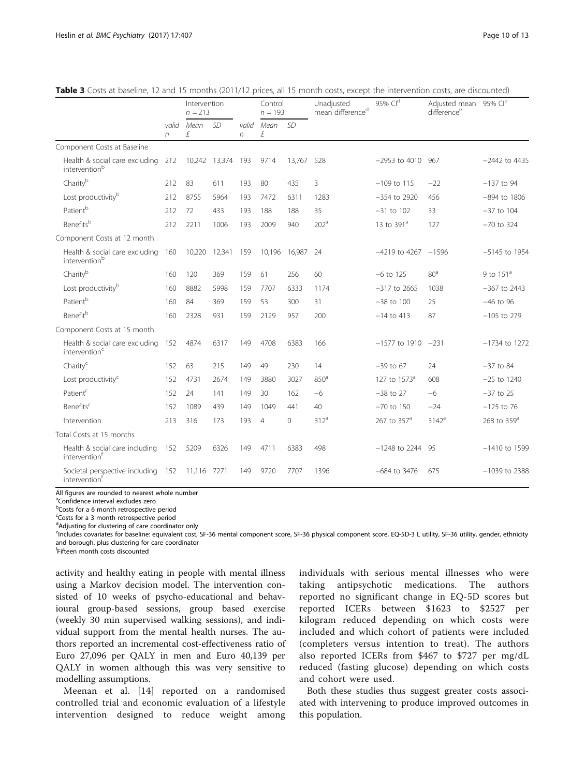|                                                             |                     | Intervention<br>$n = 213$ |           |                     | Control<br>$n = 193$ |           | Unadjusted<br>mean differenced | 95% Cld                  | Adjusted mean 95% Cle<br>difference <sup>e</sup> |                         |
|-------------------------------------------------------------|---------------------|---------------------------|-----------|---------------------|----------------------|-----------|--------------------------------|--------------------------|--------------------------------------------------|-------------------------|
|                                                             | valid<br>$\sqrt{n}$ | Mean<br>£                 | <b>SD</b> | valid<br>$\sqrt{n}$ | Mean<br>£            | <b>SD</b> |                                |                          |                                                  |                         |
| Component Costs at Baseline                                 |                     |                           |           |                     |                      |           |                                |                          |                                                  |                         |
| Health & social care excluding<br>intervention <sup>b</sup> | 212                 | 10,242                    | 13,374    | 193                 | 9714                 | 13,767    | 528                            | $-2953$ to 4010          | 967                                              | $-2442$ to $4435$       |
| Charityb                                                    | 212                 | 83                        | 611       | 193                 | 80                   | 435       | 3                              | $-109$ to 115            | $-22$                                            | $-137$ to 94            |
| Lost productivity <sup>b</sup>                              | 212                 | 8755                      | 5964      | 193                 | 7472                 | 6311      | 1283                           | $-354$ to 2920           | 456                                              | $-894$ to 1806          |
| Patientb                                                    | 212                 | 72                        | 433       | 193                 | 188                  | 188       | 35                             | $-31$ to 102             | 33                                               | $-37$ to 104            |
| <b>Benefits</b> <sup>b</sup>                                | 212                 | 2211                      | 1006      | 193                 | 2009                 | 940       | 202 <sup>a</sup>               | 13 to 391 <sup>a</sup>   | 127                                              | $-70$ to 324            |
| Component Costs at 12 month                                 |                     |                           |           |                     |                      |           |                                |                          |                                                  |                         |
| Health & social care excluding<br>interventionb             | 160                 | 10,220                    | 12,341    | 159                 | 10,196               | 16.987    | 24                             | $-4219$ to $4267 -1596$  |                                                  | $-5145$ to 1954         |
| Charity <sup>b</sup>                                        | 160                 | 120                       | 369       | 159                 | 61                   | 256       | 60                             | $-6$ to 125              | 80 <sup>a</sup>                                  | 9 to $151a$             |
| Lost productivity <sup>b</sup>                              | 160                 | 8882                      | 5998      | 159                 | 7707                 | 6333      | 1174                           | $-317$ to 2665           | 1038                                             | $-367$ to 2443          |
| Patient <sup>b</sup>                                        | 160                 | 84                        | 369       | 159                 | 53                   | 300       | 31                             | $-38$ to $100$           | 25                                               | $-46$ to 96             |
| <b>Benefit</b> <sup>b</sup>                                 | 160                 | 2328                      | 931       | 159                 | 2129                 | 957       | 200                            | $-14$ to 413             | 87                                               | $-105$ to 279           |
| Component Costs at 15 month                                 |                     |                           |           |                     |                      |           |                                |                          |                                                  |                         |
| Health & social care excluding<br>intervention <sup>c</sup> | 152                 | 4874                      | 6317      | 149                 | 4708                 | 6383      | 166                            | $-1577$ to 1910 $-231$   |                                                  | $-1734$ to 1272         |
| Charity <sup>c</sup>                                        | 152                 | 63                        | 215       | 149                 | 49                   | 230       | 14                             | $-39$ to 67              | 24                                               | $-37$ to 84             |
| Lost productivity <sup>c</sup>                              | 152                 | 4731                      | 2674      | 149                 | 3880                 | 3027      | 850 <sup>a</sup>               | 127 to 1573 <sup>a</sup> | 608                                              | $-25$ to 1240           |
| Patient <sup>c</sup>                                        | 152                 | 24                        | 141       | 149                 | 30                   | 162       | $-6$                           | $-38$ to 27              | $-6$                                             | $-37$ to 25             |
| Benefits <sup>c</sup>                                       | 152                 | 1089                      | 439       | 149                 | 1049                 | 441       | 40                             | $-70$ to 150             | $-24$                                            | $-125$ to 76            |
| Intervention                                                | 213                 | 316                       | 173       | 193                 | $\overline{4}$       | $\Omega$  | 312 <sup>a</sup>               | 267 to 357 <sup>a</sup>  | $3142^a$                                         | 268 to 359 <sup>a</sup> |
| Total Costs at 15 months                                    |                     |                           |           |                     |                      |           |                                |                          |                                                  |                         |
| Health & social care including<br>interventionf             | 152                 | 5209                      | 6326      | 149                 | 4711                 | 6383      | 498                            | $-1248$ to 2244          | 95                                               | $-1410$ to 1599         |
| Societal perspective including<br>intervention <sup>1</sup> | 152                 | 11,116                    | 7271      | 149                 | 9720                 | 7707      | 1396                           | $-684$ to 3476           | 675                                              | $-1039$ to 2388         |

<span id="page-9-0"></span>

| Table 3 Costs at baseline, 12 and 15 months (2011/12 prices, all 15 month costs, except the intervention costs, are discounted) |  |  |  |
|---------------------------------------------------------------------------------------------------------------------------------|--|--|--|
|---------------------------------------------------------------------------------------------------------------------------------|--|--|--|

All figures are rounded to nearest whole number

<sup>a</sup>Confidence interval excludes zero

**bCosts for a 6 month retrospective period** 

Costs for a 3 month retrospective period

<sup>d</sup>Adjusting for clustering of care coordinator only

encludes covariates for baseline: equivalent cost, SF-36 mental component score, SF-36 physical component score, EQ-5D-3 L utility, SF-36 utility, gender, ethnicity and borough, plus clustering for care coordinator

f Fifteen month costs discounted

activity and healthy eating in people with mental illness using a Markov decision model. The intervention consisted of 10 weeks of psycho-educational and behavioural group-based sessions, group based exercise (weekly 30 min supervised walking sessions), and individual support from the mental health nurses. The authors reported an incremental cost-effectiveness ratio of Euro 27,096 per QALY in men and Euro 40,139 per QALY in women although this was very sensitive to modelling assumptions.

Meenan et al. [[14\]](#page-11-0) reported on a randomised controlled trial and economic evaluation of a lifestyle intervention designed to reduce weight among

individuals with serious mental illnesses who were taking antipsychotic medications. The authors reported no significant change in EQ-5D scores but reported ICERs between \$1623 to \$2527 per kilogram reduced depending on which costs were included and which cohort of patients were included (completers versus intention to treat). The authors also reported ICERs from \$467 to \$727 per mg/dL reduced (fasting glucose) depending on which costs and cohort were used.

Both these studies thus suggest greater costs associated with intervening to produce improved outcomes in this population.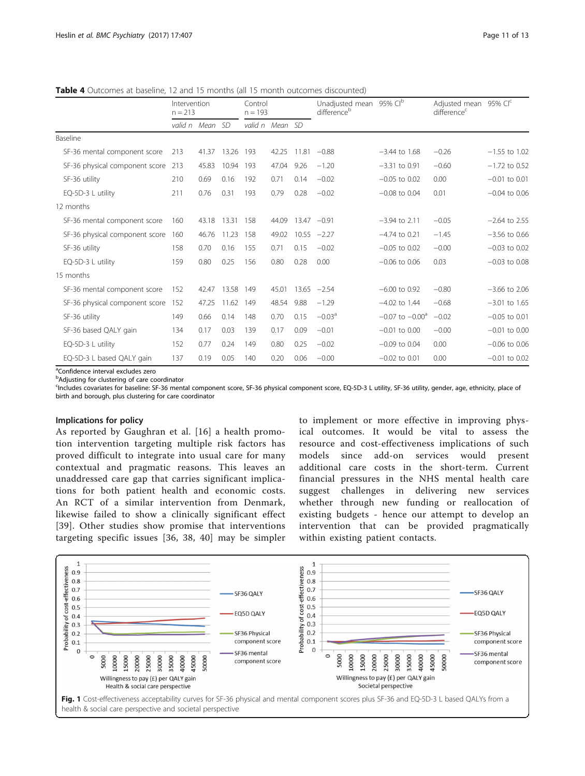|                                | Intervention<br>$n = 213$ |       | Control<br>$n = 193$ |                 |       | Unadjusted mean 95% CIb<br>difference <sup>b</sup> |               | Adjusted mean 95% CI <sup>c</sup><br>difference <sup>c</sup> |         |                 |
|--------------------------------|---------------------------|-------|----------------------|-----------------|-------|----------------------------------------------------|---------------|--------------------------------------------------------------|---------|-----------------|
|                                | valid n Mean SD           |       |                      | valid n Mean SD |       |                                                    |               |                                                              |         |                 |
| Baseline                       |                           |       |                      |                 |       |                                                    |               |                                                              |         |                 |
| SF-36 mental component score   | 213                       | 41.37 | 13.26 193            |                 | 42.25 | 11.81                                              | $-0.88$       | $-3.44$ to 1.68                                              | $-0.26$ | $-1.55$ to 1.02 |
| SF-36 physical component score | 213                       | 45.83 | 10.94                | 193             | 47.04 | 9.26                                               | $-1.20$       | $-3.31$ to 0.91                                              | $-0.60$ | $-1.72$ to 0.52 |
| SF-36 utility                  | 210                       | 0.69  | 0.16                 | 192             | 0.71  | 0.14                                               | $-0.02$       | $-0.05$ to 0.02                                              | 0.00    | $-0.01$ to 0.01 |
| EQ-5D-3 L utility              | 211                       | 0.76  | 0.31                 | 193             | 0.79  | 0.28                                               | $-0.02$       | $-0.08$ to 0.04                                              | 0.01    | $-0.04$ to 0.06 |
| 12 months                      |                           |       |                      |                 |       |                                                    |               |                                                              |         |                 |
| SF-36 mental component score   | 160                       | 43.18 | 13.31 158            |                 | 44.09 | 13.47                                              | $-0.91$       | $-3.94$ to 2.11                                              | $-0.05$ | $-2.64$ to 2.55 |
| SF-36 physical component score | 160                       | 46.76 | 11.23                | 158             | 49.02 | 10.55                                              | $-2.27$       | $-4.74$ to 0.21                                              | $-1.45$ | $-3.56$ to 0.66 |
| SF-36 utility                  | 158                       | 0.70  | 0.16                 | 155             | 0.71  | 0.15                                               | $-0.02$       | $-0.05$ to 0.02                                              | $-0.00$ | $-0.03$ to 0.02 |
| EQ-5D-3 L utility              | 159                       | 0.80  | 0.25                 | 156             | 0.80  | 0.28                                               | 0.00          | $-0.06$ to 0.06                                              | 0.03    | $-0.03$ to 0.08 |
| 15 months                      |                           |       |                      |                 |       |                                                    |               |                                                              |         |                 |
| SF-36 mental component score   | 152                       | 42.47 | 13.58 149            |                 | 45.01 |                                                    | $13.65 -2.54$ | $-6.00$ to 0.92                                              | $-0.80$ | $-3.66$ to 2.06 |
| SF-36 physical component score | 152                       | 47.25 | 11.62                | 149             | 48.54 | 9.88                                               | $-1.29$       | $-4.02$ to 1.44                                              | $-0.68$ | $-3.01$ to 1.65 |
| SF-36 utility                  | 149                       | 0.66  | 0.14                 | 148             | 0.70  | 0.15                                               | $-0.03a$      | $-0.07$ to $-0.00$ <sup>a</sup>                              | $-0.02$ | $-0.05$ to 0.01 |
| SF-36 based QALY gain          | 134                       | 0.17  | 0.03                 | 139             | 0.17  | 0.09                                               | $-0.01$       | $-0.01$ to $0.00$                                            | $-0.00$ | $-0.01$ to 0.00 |
| EQ-5D-3 L utility              | 152                       | 0.77  | 0.24                 | 149             | 0.80  | 0.25                                               | $-0.02$       | $-0.09$ to 0.04                                              | 0.00    | $-0.06$ to 0.06 |
| EQ-5D-3 L based QALY gain      | 137                       | 0.19  | 0.05                 | 140             | 0.20  | 0.06                                               | $-0.00$       | $-0.02$ to 0.01                                              | 0.00    | $-0.01$ to 0.02 |

<span id="page-10-0"></span>**Table 4** Outcomes at baseline, 12 and 15 months (all 15 month outcomes discounted)

<sup>a</sup>Confidence interval excludes zero

<sup>b</sup>Adjusting for clustering of care coordinator

<sup>c</sup>Includes covariates for baseline: SF-36 mental component score, SF-36 physical component score, EQ-5D-3 L utility, SF-36 utility, gender, age, ethnicity, place of birth and borough, plus clustering for care coordinator

#### Implications for policy

As reported by Gaughran et al. [[16](#page-12-0)] a health promotion intervention targeting multiple risk factors has proved difficult to integrate into usual care for many contextual and pragmatic reasons. This leaves an unaddressed care gap that carries significant implications for both patient health and economic costs. An RCT of a similar intervention from Denmark, likewise failed to show a clinically significant effect [[39](#page-12-0)]. Other studies show promise that interventions targeting specific issues [[36](#page-12-0), [38, 40\]](#page-12-0) may be simpler

to implement or more effective in improving physical outcomes. It would be vital to assess the resource and cost-effectiveness implications of such models since add-on services would present additional care costs in the short-term. Current financial pressures in the NHS mental health care suggest challenges in delivering new services whether through new funding or reallocation of existing budgets - hence our attempt to develop an intervention that can be provided pragmatically within existing patient contacts.

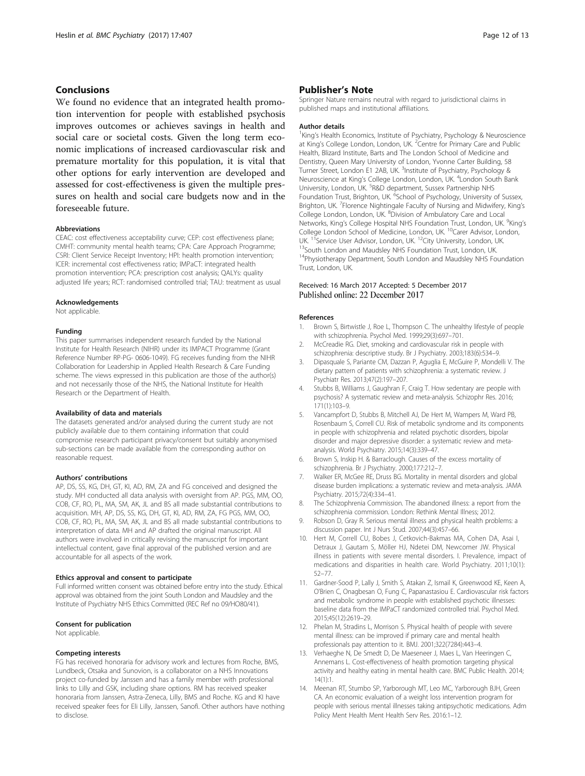## <span id="page-11-0"></span>**Conclusions**

We found no evidence that an integrated health promotion intervention for people with established psychosis improves outcomes or achieves savings in health and social care or societal costs. Given the long term economic implications of increased cardiovascular risk and premature mortality for this population, it is vital that other options for early intervention are developed and assessed for cost-effectiveness is given the multiple pressures on health and social care budgets now and in the foreseeable future.

#### Abbreviations

CEAC: cost effectiveness acceptability curve; CEP: cost effectiveness plane; CMHT: community mental health teams; CPA: Care Approach Programme; CSRI: Client Service Receipt Inventory; HPI: health promotion intervention; ICER: incremental cost effectiveness ratio; IMPaCT: integrated health promotion intervention; PCA: prescription cost analysis; QALYs: quality adjusted life years; RCT: randomised controlled trial; TAU: treatment as usual

#### Acknowledgements

Not applicable.

#### Funding

This paper summarises independent research funded by the National Institute for Health Research (NIHR) under its IMPACT Programme (Grant Reference Number RP-PG- 0606-1049). FG receives funding from the NIHR Collaboration for Leadership in Applied Health Research & Care Funding scheme. The views expressed in this publication are those of the author(s) and not necessarily those of the NHS, the National Institute for Health Research or the Department of Health.

#### Availability of data and materials

The datasets generated and/or analysed during the current study are not publicly available due to them containing information that could compromise research participant privacy/consent but suitably anonymised sub-sections can be made available from the corresponding author on reasonable request.

#### Authors' contributions

AP, DS, SS, KG, DH, GT, KI, AD, RM, ZA and FG conceived and designed the study. MH conducted all data analysis with oversight from AP. PGS, MM, OO, COB, CF, RO, PL, MA, SM, AK, JL and BS all made substantial contributions to acquisition. MH, AP, DS, SS, KG, DH, GT, KI, AD, RM, ZA, FG PGS, MM, OO, COB, CF, RO, PL, MA, SM, AK, JL and BS all made substantial contributions to interpretation of data. MH and AP drafted the original manuscript. All authors were involved in critically revising the manuscript for important intellectual content, gave final approval of the published version and are accountable for all aspects of the work.

#### Ethics approval and consent to participate

Full informed written consent was obtained before entry into the study. Ethical approval was obtained from the joint South London and Maudsley and the Institute of Psychiatry NHS Ethics Committed (REC Ref no 09/HO80/41).

#### Consent for publication

Not applicable.

#### Competing interests

FG has received honoraria for advisory work and lectures from Roche, BMS, Lundbeck, Otsaka and Sunovion, is a collaborator on a NHS Innovations project co-funded by Janssen and has a family member with professional links to Lilly and GSK, including share options. RM has received speaker honoraria from Janssen, Astra-Zeneca, Lilly, BMS and Roche. KG and KI have received speaker fees for Eli Lilly, Janssen, Sanofi. Other authors have nothing to disclose.

## Publisher's Note

Springer Nature remains neutral with regard to jurisdictional claims in published maps and institutional affiliations.

#### Author details

<sup>1</sup>King's Health Economics, Institute of Psychiatry, Psychology & Neuroscience at King's College London, London, UK. <sup>2</sup> Centre for Primary Care and Public Health, Blizard Institute, Barts and The London School of Medicine and Dentistry, Queen Mary University of London, Yvonne Carter Building, 58 Turner Street, London E1 2AB, UK. <sup>3</sup>Institute of Psychiatry, Psychology & Neuroscience at King's College London, London, UK. <sup>4</sup>London South Bank University, London, UK. <sup>5</sup>R&D department, Sussex Partnership NHS Foundation Trust, Brighton, UK. <sup>6</sup>School of Psychology, University of Sussex Brighton, UK. <sup>7</sup>Florence Nightingale Faculty of Nursing and Midwifery, King's College London, London, UK. <sup>8</sup> Division of Ambulatory Care and Local Networks, King's College Hospital NHS Foundation Trust, London, UK. <sup>9</sup>King's College London School of Medicine, London, UK. <sup>10</sup>Carer Advisor, London, UK. <sup>11</sup>Carer Advisor, London, UK. <sup>11</sup>Carer Advisor, London, UK. <sup>11</sup>Carer Advisor, London, UK. <sup>11</sup>Carer Advisor, London, UK. <sup>13</sup>South London and Maudsley NHS Foundation Trust, London, UK. <sup>14</sup>Physiotherapy Department, South London and Maudsley NHS Foundation Trust, London, UK.

#### Received: 16 March 2017 Accepted: 5 December 2017 Published online: 22 December 2017

#### References

- 1. Brown S, Birtwistle J, Roe L, Thompson C. The unhealthy lifestyle of people with schizophrenia. Psychol Med. 1999;29(3):697–701.
- 2. McCreadie RG. Diet, smoking and cardiovascular risk in people with schizophrenia: descriptive study. Br J Psychiatry. 2003;183(6):534–9.
- 3. Dipasquale S, Pariante CM, Dazzan P, Aguglia E, McGuire P, Mondelli V. The dietary pattern of patients with schizophrenia: a systematic review. J Psychiatr Res. 2013;47(2):197–207.
- 4. Stubbs B, Williams J, Gaughran F, Craig T. How sedentary are people with psychosis? A systematic review and meta-analysis. Schizophr Res. 2016; 171(1):103–9.
- 5. Vancampfort D, Stubbs B, Mitchell AJ, De Hert M, Wampers M, Ward PB, Rosenbaum S, Correll CU. Risk of metabolic syndrome and its components in people with schizophrenia and related psychotic disorders, bipolar disorder and major depressive disorder: a systematic review and metaanalysis. World Psychiatry. 2015;14(3):339–47.
- 6. Brown S, Inskip H. & Barraclough. Causes of the excess mortality of schizophrenia. Br J Psychiatry. 2000;177:212–7.
- 7. Walker ER, McGee RE, Druss BG. Mortality in mental disorders and global disease burden implications: a systematic review and meta-analysis. JAMA Psychiatry. 2015;72(4):334–41.
- 8. The Schizophrenia Commission. The abandoned illness: a report from the schizophrenia commission. London: Rethink Mental Illness; 2012.
- 9. Robson D, Gray R. Serious mental illness and physical health problems: a discussion paper. Int J Nurs Stud. 2007;44(3):457–66.
- 10. Hert M, Correll CU, Bobes J, Cetkovich-Bakmas MA, Cohen DA, Asai I, Detraux J, Gautam S, Möller HJ, Ndetei DM, Newcomer JW. Physical illness in patients with severe mental disorders. I. Prevalence, impact of medications and disparities in health care. World Psychiatry. 2011;10(1): 52–77.
- 11. Gardner-Sood P, Lally J, Smith S, Atakan Z, Ismail K, Greenwood KE, Keen A, O'Brien C, Onagbesan O, Fung C, Papanastasiou E. Cardiovascular risk factors and metabolic syndrome in people with established psychotic illnesses: baseline data from the IMPaCT randomized controlled trial. Psychol Med. 2015;45(12):2619–29.
- 12. Phelan M, Stradins L, Morrison S. Physical health of people with severe mental illness: can be improved if primary care and mental health professionals pay attention to it. BMJ. 2001;322(7284):443–4.
- 13. Verhaeghe N, De Smedt D, De Maeseneer J, Maes L, Van Heeringen C, Annemans L. Cost-effectiveness of health promotion targeting physical activity and healthy eating in mental health care. BMC Public Health. 2014; 14(1):1.
- 14. Meenan RT, Stumbo SP, Yarborough MT, Leo MC, Yarborough BJH, Green CA. An economic evaluation of a weight loss intervention program for people with serious mental illnesses taking antipsychotic medications. Adm Policy Ment Health Ment Health Serv Res. 2016:1–12.